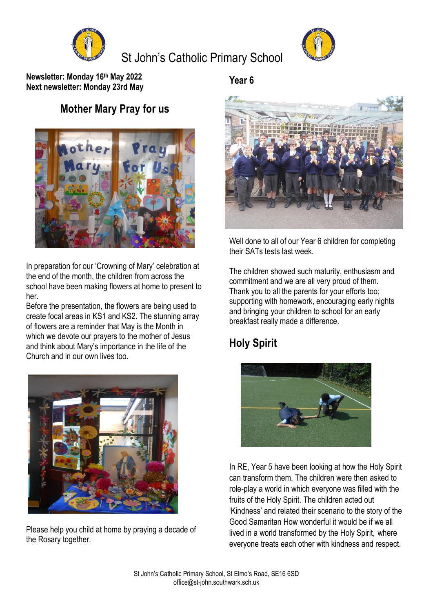

# St John's Catholic Primary School



**Newsletter: Monday 16th May 2022 Next newsletter: Monday 23rd May**

### **Mother Mary Pray for us**



In preparation for our 'Crowning of Mary' celebration at the end of the month, the children from across the school have been making flowers at home to present to her.

Before the presentation, the flowers are being used to create focal areas in KS1 and KS2. The stunning array of flowers are a reminder that May is the Month in which we devote our prayers to the mother of Jesus and think about Mary's importance in the life of the Church and in our own lives too.



Please help you child at home by praying a decade of the Rosary together.

**Year 6**



Well done to all of our Year 6 children for completing their SATs tests last week.

The children showed such maturity, enthusiasm and commitment and we are all very proud of them. Thank you to all the parents for your efforts too; supporting with homework, encouraging early nights and bringing your children to school for an early breakfast really made a difference.

## **Holy Spirit**



In RE, Year 5 have been looking at how the Holy Spirit can transform them. The children were then asked to role-play a world in which everyone was filled with the fruits of the Holy Spirit. The children acted out 'Kindness' and related their scenario to the story of the Good Samaritan How wonderful it would be if we all lived in a world transformed by the Holy Spirit, where everyone treats each other with kindness and respect.